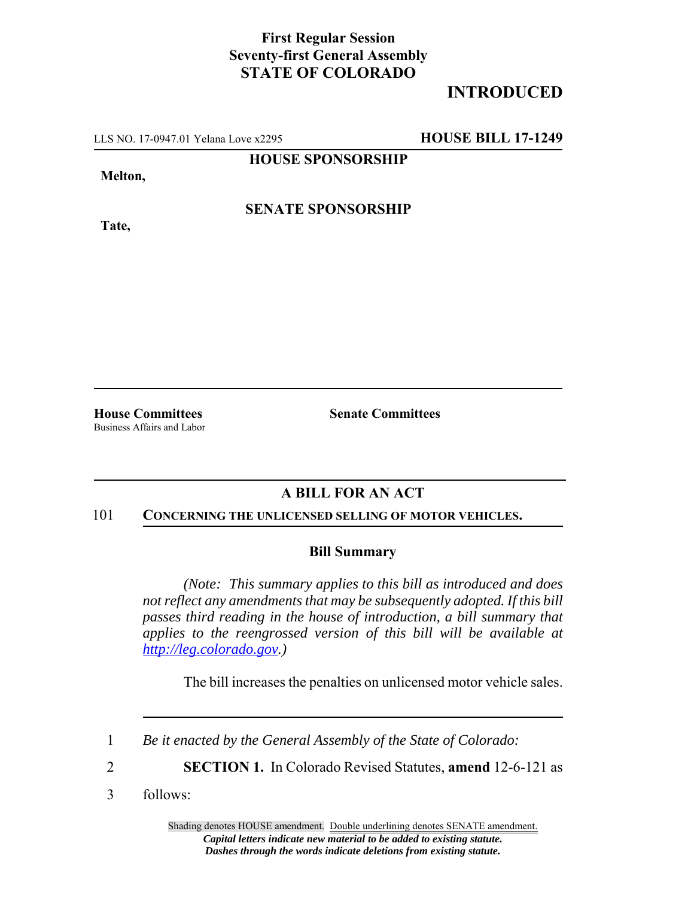### **First Regular Session Seventy-first General Assembly STATE OF COLORADO**

# **INTRODUCED**

LLS NO. 17-0947.01 Yelana Love x2295 **HOUSE BILL 17-1249**

**HOUSE SPONSORSHIP**

**Melton,**

**Tate,**

**SENATE SPONSORSHIP**

Business Affairs and Labor

**House Committees Senate Committees**

## **A BILL FOR AN ACT**

#### 101 **CONCERNING THE UNLICENSED SELLING OF MOTOR VEHICLES.**

#### **Bill Summary**

*(Note: This summary applies to this bill as introduced and does not reflect any amendments that may be subsequently adopted. If this bill passes third reading in the house of introduction, a bill summary that applies to the reengrossed version of this bill will be available at http://leg.colorado.gov.)*

The bill increases the penalties on unlicensed motor vehicle sales.

3 follows:

<sup>1</sup> *Be it enacted by the General Assembly of the State of Colorado:*

<sup>2</sup> **SECTION 1.** In Colorado Revised Statutes, **amend** 12-6-121 as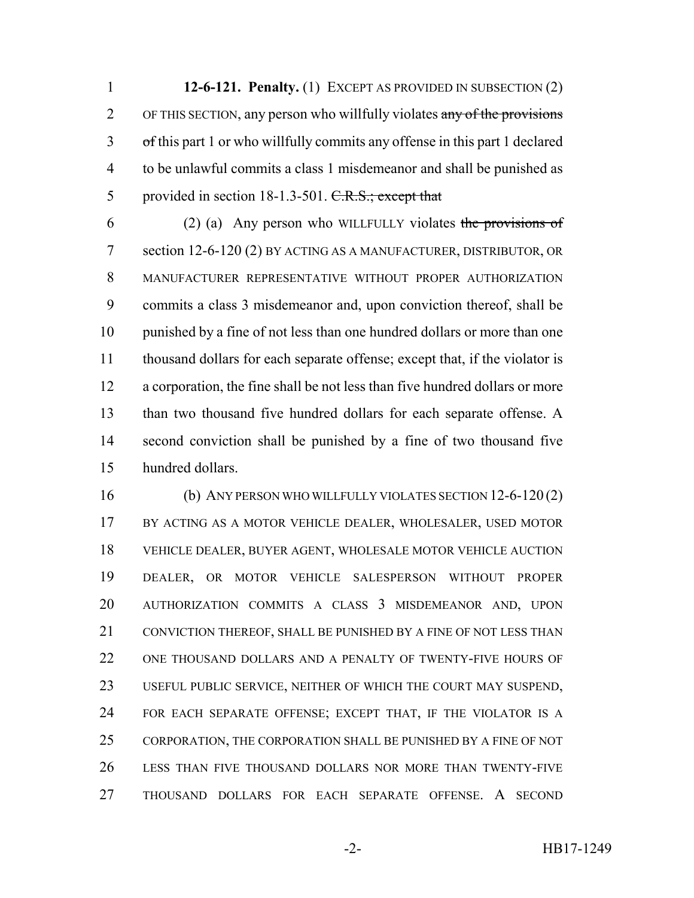**12-6-121. Penalty.** (1) EXCEPT AS PROVIDED IN SUBSECTION (2) 2 OF THIS SECTION, any person who willfully violates any of the provisions of this part 1 or who willfully commits any offense in this part 1 declared to be unlawful commits a class 1 misdemeanor and shall be punished as 5 provided in section 18-1.3-501. C.R.S.; except that

6 (2) (a) Any person who WILLFULLY violates the provisions of section 12-6-120 (2) BY ACTING AS A MANUFACTURER, DISTRIBUTOR, OR MANUFACTURER REPRESENTATIVE WITHOUT PROPER AUTHORIZATION commits a class 3 misdemeanor and, upon conviction thereof, shall be punished by a fine of not less than one hundred dollars or more than one thousand dollars for each separate offense; except that, if the violator is a corporation, the fine shall be not less than five hundred dollars or more than two thousand five hundred dollars for each separate offense. A second conviction shall be punished by a fine of two thousand five hundred dollars.

 (b) ANY PERSON WHO WILLFULLY VIOLATES SECTION 12-6-120 (2) BY ACTING AS A MOTOR VEHICLE DEALER, WHOLESALER, USED MOTOR VEHICLE DEALER, BUYER AGENT, WHOLESALE MOTOR VEHICLE AUCTION DEALER, OR MOTOR VEHICLE SALESPERSON WITHOUT PROPER AUTHORIZATION COMMITS A CLASS 3 MISDEMEANOR AND, UPON 21 CONVICTION THEREOF, SHALL BE PUNISHED BY A FINE OF NOT LESS THAN ONE THOUSAND DOLLARS AND A PENALTY OF TWENTY-FIVE HOURS OF USEFUL PUBLIC SERVICE, NEITHER OF WHICH THE COURT MAY SUSPEND, FOR EACH SEPARATE OFFENSE; EXCEPT THAT, IF THE VIOLATOR IS A CORPORATION, THE CORPORATION SHALL BE PUNISHED BY A FINE OF NOT LESS THAN FIVE THOUSAND DOLLARS NOR MORE THAN TWENTY-FIVE THOUSAND DOLLARS FOR EACH SEPARATE OFFENSE. A SECOND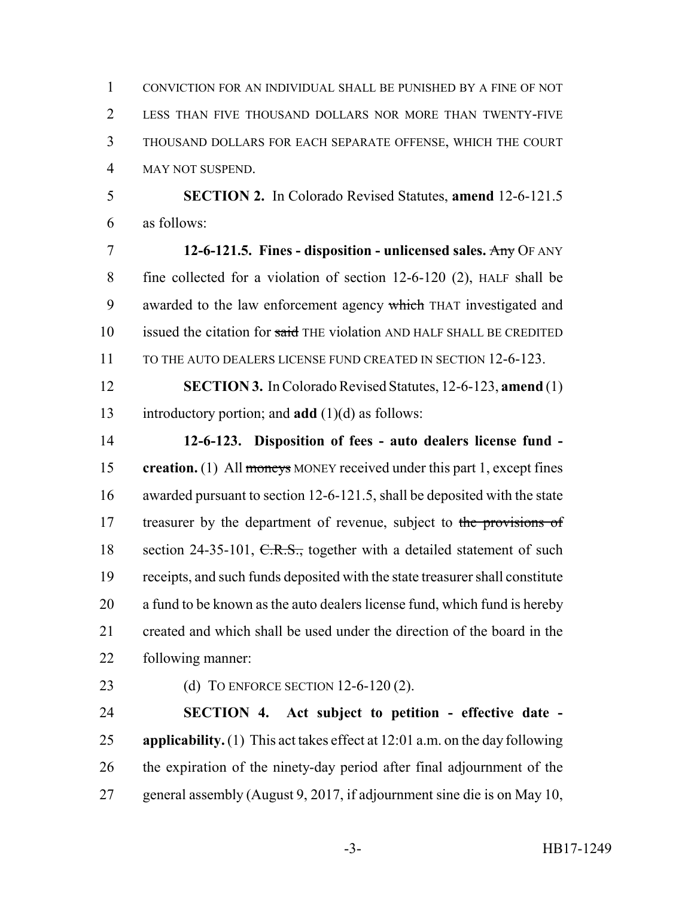CONVICTION FOR AN INDIVIDUAL SHALL BE PUNISHED BY A FINE OF NOT LESS THAN FIVE THOUSAND DOLLARS NOR MORE THAN TWENTY-FIVE THOUSAND DOLLARS FOR EACH SEPARATE OFFENSE, WHICH THE COURT MAY NOT SUSPEND.

 **SECTION 2.** In Colorado Revised Statutes, **amend** 12-6-121.5 as follows:

 **12-6-121.5. Fines - disposition - unlicensed sales.** Any OF ANY fine collected for a violation of section 12-6-120 (2), HALF shall be 9 awarded to the law enforcement agency which THAT investigated and 10 issued the citation for said THE violation AND HALF SHALL BE CREDITED 11 TO THE AUTO DEALERS LICENSE FUND CREATED IN SECTION 12-6-123.

 **SECTION 3.** In Colorado Revised Statutes, 12-6-123, **amend** (1) introductory portion; and **add** (1)(d) as follows:

 **12-6-123. Disposition of fees - auto dealers license fund - creation.** (1) All moneys MONEY received under this part 1, except fines awarded pursuant to section 12-6-121.5, shall be deposited with the state 17 treasurer by the department of revenue, subject to the provisions of 18 section 24-35-101, C.R.S., together with a detailed statement of such receipts, and such funds deposited with the state treasurer shall constitute a fund to be known as the auto dealers license fund, which fund is hereby created and which shall be used under the direction of the board in the following manner:

(d) TO ENFORCE SECTION 12-6-120 (2).

 **SECTION 4. Act subject to petition - effective date - applicability.** (1) This act takes effect at 12:01 a.m. on the day following the expiration of the ninety-day period after final adjournment of the general assembly (August 9, 2017, if adjournment sine die is on May 10,